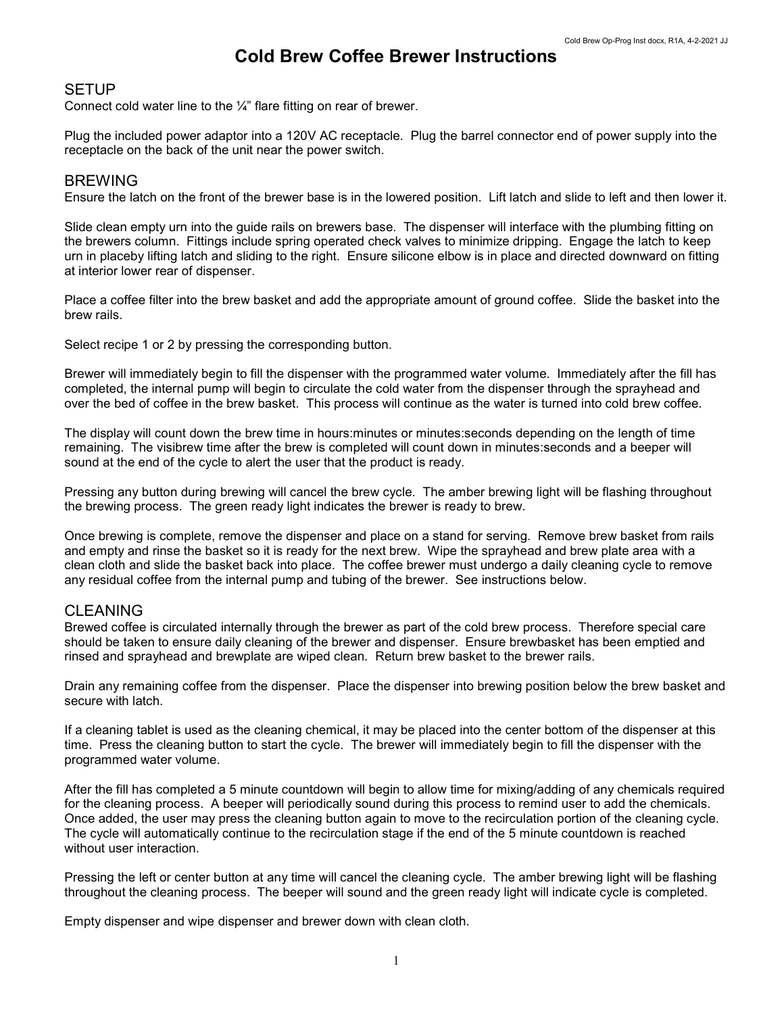# Cold Brew Coffee Brewer Instructions

## **SETUP**

Connect cold water line to the ¼" flare fitting on rear of brewer.

Plug the included power adaptor into a 120V AC receptacle. Plug the barrel connector end of power supply into the receptacle on the back of the unit near the power switch.

#### BREWING

Ensure the latch on the front of the brewer base is in the lowered position. Lift latch and slide to left and then lower it.

Slide clean empty urn into the guide rails on brewers base. The dispenser will interface with the plumbing fitting on the brewers column. Fittings include spring operated check valves to minimize dripping. Engage the latch to keep urn in placeby lifting latch and sliding to the right. Ensure silicone elbow is in place and directed downward on fitting at interior lower rear of dispenser.

Place a coffee filter into the brew basket and add the appropriate amount of ground coffee. Slide the basket into the brew rails.

Select recipe 1 or 2 by pressing the corresponding button.

Brewer will immediately begin to fill the dispenser with the programmed water volume. Immediately after the fill has completed, the internal pump will begin to circulate the cold water from the dispenser through the sprayhead and over the bed of coffee in the brew basket. This process will continue as the water is turned into cold brew coffee.

The display will count down the brew time in hours:minutes or minutes:seconds depending on the length of time remaining. The visibrew time after the brew is completed will count down in minutes:seconds and a beeper will sound at the end of the cycle to alert the user that the product is ready.

Pressing any button during brewing will cancel the brew cycle. The amber brewing light will be flashing throughout the brewing process. The green ready light indicates the brewer is ready to brew.

Once brewing is complete, remove the dispenser and place on a stand for serving. Remove brew basket from rails and empty and rinse the basket so it is ready for the next brew. Wipe the sprayhead and brew plate area with a clean cloth and slide the basket back into place. The coffee brewer must undergo a daily cleaning cycle to remove any residual coffee from the internal pump and tubing of the brewer. See instructions below.

### CLEANING

Brewed coffee is circulated internally through the brewer as part of the cold brew process. Therefore special care should be taken to ensure daily cleaning of the brewer and dispenser. Ensure brewbasket has been emptied and rinsed and sprayhead and brewplate are wiped clean. Return brew basket to the brewer rails.

Drain any remaining coffee from the dispenser. Place the dispenser into brewing position below the brew basket and secure with latch.

If a cleaning tablet is used as the cleaning chemical, it may be placed into the center bottom of the dispenser at this time. Press the cleaning button to start the cycle. The brewer will immediately begin to fill the dispenser with the programmed water volume.

After the fill has completed a 5 minute countdown will begin to allow time for mixing/adding of any chemicals required for the cleaning process. A beeper will periodically sound during this process to remind user to add the chemicals. Once added, the user may press the cleaning button again to move to the recirculation portion of the cleaning cycle. The cycle will automatically continue to the recirculation stage if the end of the 5 minute countdown is reached without user interaction.

Pressing the left or center button at any time will cancel the cleaning cycle. The amber brewing light will be flashing throughout the cleaning process. The beeper will sound and the green ready light will indicate cycle is completed.

Empty dispenser and wipe dispenser and brewer down with clean cloth.